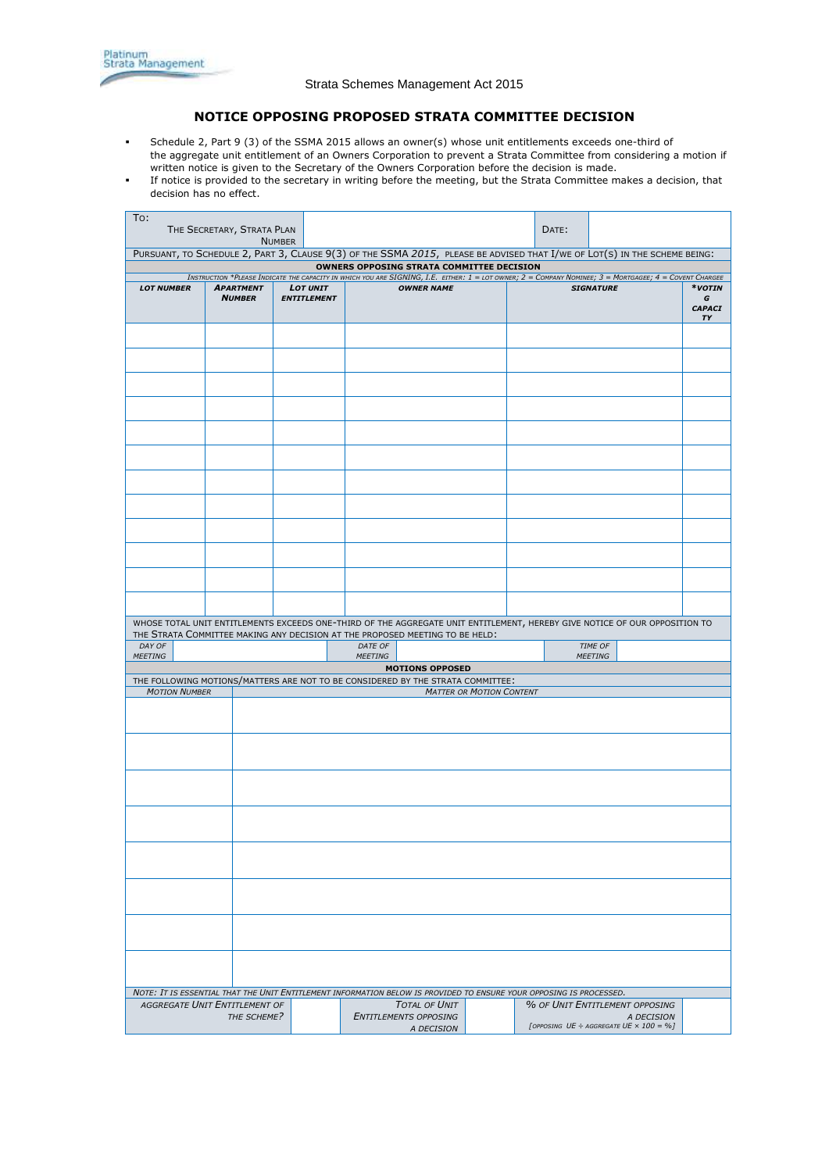# **NOTICE OPPOSING PROPOSED STRATA COMMITTEE DECISION**

- Schedule 2, Part 9 (3) of the SSMA 2015 allows an owner(s) whose [unit entitlements](http://www8.austlii.edu.au/cgi-bin/viewdoc/au/legis/nsw/consol_act/ssma2015242/s4.html#unit_entitlement) exceeds one-third of the [aggregate unit entitlement](http://www8.austlii.edu.au/cgi-bin/viewdoc/au/legis/nsw/consol_act/ssma2015242/s4.html#aggregate_unit_entitlement) of an Owners Corporation to prevent a Strata Committee from considering a motion if written notice is given to the [Secretary](http://www8.austlii.edu.au/cgi-bin/viewdoc/au/legis/nsw/consol_act/ssma2015242/s4.html#secretary) of the [Owners Corporation](http://www8.austlii.edu.au/cgi-bin/viewdoc/au/legis/nsw/consol_act/ssma2015242/s4.html#owners_corporation) before the decision is made.
- If notice is provided to the secretary in writing before the meeting, but the Strata Committee makes a decision, that decision has no effect.

| To:<br>THE SECRETARY, STRATA PLAN                                                                                          |                               |                                                                                                                                                                                                                                                  |                                                                                                                           |  |                              |  |                | DATE:                                              |         |               |    |
|----------------------------------------------------------------------------------------------------------------------------|-------------------------------|--------------------------------------------------------------------------------------------------------------------------------------------------------------------------------------------------------------------------------------------------|---------------------------------------------------------------------------------------------------------------------------|--|------------------------------|--|----------------|----------------------------------------------------|---------|---------------|----|
|                                                                                                                            |                               | <b>NUMBER</b>                                                                                                                                                                                                                                    | PURSUANT, TO SCHEDULE 2, PART 3, CLAUSE 9(3) OF THE SSMA 2015, PLEASE BE ADVISED THAT I/WE OF LOT(S) IN THE SCHEME BEING: |  |                              |  |                |                                                    |         |               |    |
| OWNERS OPPOSING STRATA COMMITTEE DECISION                                                                                  |                               |                                                                                                                                                                                                                                                  |                                                                                                                           |  |                              |  |                |                                                    |         |               |    |
| <b>LOT NUMBER</b>                                                                                                          |                               | INSTRUCTION *PLEASE INDICATE THE CAPACITY IN WHICH YOU ARE SIGNING, I.E. EITHER: 1 = LOT OWNER; 2 = COMPANY NOMINEE; 3 = MORTGAGEE; 4 = COVENT CHARGEE<br><b>OWNER NAME</b><br>*votin<br><b>APARTMENT</b><br><b>LOT UNIT</b><br><b>SIGNATURE</b> |                                                                                                                           |  |                              |  |                |                                                    |         |               |    |
|                                                                                                                            | <b>NUMBER</b>                 |                                                                                                                                                                                                                                                  | <b>ENTITLEMENT</b>                                                                                                        |  |                              |  |                |                                                    |         | G             |    |
|                                                                                                                            |                               |                                                                                                                                                                                                                                                  |                                                                                                                           |  |                              |  |                |                                                    |         | <b>CAPACI</b> |    |
|                                                                                                                            |                               |                                                                                                                                                                                                                                                  |                                                                                                                           |  |                              |  |                |                                                    |         |               | TΥ |
|                                                                                                                            |                               |                                                                                                                                                                                                                                                  |                                                                                                                           |  |                              |  |                |                                                    |         |               |    |
|                                                                                                                            |                               |                                                                                                                                                                                                                                                  |                                                                                                                           |  |                              |  |                |                                                    |         |               |    |
|                                                                                                                            |                               |                                                                                                                                                                                                                                                  |                                                                                                                           |  |                              |  |                |                                                    |         |               |    |
|                                                                                                                            |                               |                                                                                                                                                                                                                                                  |                                                                                                                           |  |                              |  |                |                                                    |         |               |    |
|                                                                                                                            |                               |                                                                                                                                                                                                                                                  |                                                                                                                           |  |                              |  |                |                                                    |         |               |    |
|                                                                                                                            |                               |                                                                                                                                                                                                                                                  |                                                                                                                           |  |                              |  |                |                                                    |         |               |    |
|                                                                                                                            |                               |                                                                                                                                                                                                                                                  |                                                                                                                           |  |                              |  |                |                                                    |         |               |    |
|                                                                                                                            |                               |                                                                                                                                                                                                                                                  |                                                                                                                           |  |                              |  |                |                                                    |         |               |    |
|                                                                                                                            |                               |                                                                                                                                                                                                                                                  |                                                                                                                           |  |                              |  |                |                                                    |         |               |    |
|                                                                                                                            |                               |                                                                                                                                                                                                                                                  |                                                                                                                           |  |                              |  |                |                                                    |         |               |    |
|                                                                                                                            |                               |                                                                                                                                                                                                                                                  |                                                                                                                           |  |                              |  |                |                                                    |         |               |    |
|                                                                                                                            |                               |                                                                                                                                                                                                                                                  |                                                                                                                           |  |                              |  |                |                                                    |         |               |    |
|                                                                                                                            |                               |                                                                                                                                                                                                                                                  |                                                                                                                           |  |                              |  |                |                                                    |         |               |    |
|                                                                                                                            |                               |                                                                                                                                                                                                                                                  |                                                                                                                           |  |                              |  |                |                                                    |         |               |    |
|                                                                                                                            |                               |                                                                                                                                                                                                                                                  |                                                                                                                           |  |                              |  |                |                                                    |         |               |    |
|                                                                                                                            |                               |                                                                                                                                                                                                                                                  |                                                                                                                           |  |                              |  |                |                                                    |         |               |    |
|                                                                                                                            |                               |                                                                                                                                                                                                                                                  |                                                                                                                           |  |                              |  |                |                                                    |         |               |    |
|                                                                                                                            |                               |                                                                                                                                                                                                                                                  |                                                                                                                           |  |                              |  |                |                                                    |         |               |    |
|                                                                                                                            |                               |                                                                                                                                                                                                                                                  |                                                                                                                           |  |                              |  |                |                                                    |         |               |    |
|                                                                                                                            |                               |                                                                                                                                                                                                                                                  |                                                                                                                           |  |                              |  |                |                                                    |         |               |    |
|                                                                                                                            |                               |                                                                                                                                                                                                                                                  |                                                                                                                           |  |                              |  |                |                                                    |         |               |    |
|                                                                                                                            |                               |                                                                                                                                                                                                                                                  |                                                                                                                           |  |                              |  |                |                                                    |         |               |    |
|                                                                                                                            |                               |                                                                                                                                                                                                                                                  |                                                                                                                           |  |                              |  |                |                                                    |         |               |    |
|                                                                                                                            |                               |                                                                                                                                                                                                                                                  |                                                                                                                           |  |                              |  |                |                                                    |         |               |    |
|                                                                                                                            |                               |                                                                                                                                                                                                                                                  |                                                                                                                           |  |                              |  |                |                                                    |         |               |    |
|                                                                                                                            |                               |                                                                                                                                                                                                                                                  |                                                                                                                           |  |                              |  |                |                                                    |         |               |    |
| WHOSE TOTAL UNIT ENTITLEMENTS EXCEEDS ONE-THIRD OF THE AGGREGATE UNIT ENTITLEMENT, HEREBY GIVE NOTICE OF OUR OPPOSITION TO |                               |                                                                                                                                                                                                                                                  |                                                                                                                           |  |                              |  |                |                                                    |         |               |    |
| THE STRATA COMMITTEE MAKING ANY DECISION AT THE PROPOSED MEETING TO BE HELD:                                               |                               |                                                                                                                                                                                                                                                  |                                                                                                                           |  |                              |  |                |                                                    |         |               |    |
| DAY OF<br>DATE OF                                                                                                          |                               |                                                                                                                                                                                                                                                  |                                                                                                                           |  |                              |  |                |                                                    | TIME OF |               |    |
| <b>MEETING</b>                                                                                                             |                               | <b>MEETING</b>                                                                                                                                                                                                                                   |                                                                                                                           |  |                              |  | <b>MEETING</b> |                                                    |         |               |    |
| <b>MOTIONS OPPOSED</b>                                                                                                     |                               |                                                                                                                                                                                                                                                  |                                                                                                                           |  |                              |  |                |                                                    |         |               |    |
| THE FOLLOWING MOTIONS/MATTERS ARE NOT TO BE CONSIDERED BY THE STRATA COMMITTEE:                                            |                               |                                                                                                                                                                                                                                                  |                                                                                                                           |  |                              |  |                |                                                    |         |               |    |
| <b>MOTION NUMBER</b><br><b>MATTER OR MOTION CONTENT</b>                                                                    |                               |                                                                                                                                                                                                                                                  |                                                                                                                           |  |                              |  |                |                                                    |         |               |    |
|                                                                                                                            |                               |                                                                                                                                                                                                                                                  |                                                                                                                           |  |                              |  |                |                                                    |         |               |    |
|                                                                                                                            |                               |                                                                                                                                                                                                                                                  |                                                                                                                           |  |                              |  |                |                                                    |         |               |    |
|                                                                                                                            |                               |                                                                                                                                                                                                                                                  |                                                                                                                           |  |                              |  |                |                                                    |         |               |    |
|                                                                                                                            |                               |                                                                                                                                                                                                                                                  |                                                                                                                           |  |                              |  |                |                                                    |         |               |    |
|                                                                                                                            |                               |                                                                                                                                                                                                                                                  |                                                                                                                           |  |                              |  |                |                                                    |         |               |    |
|                                                                                                                            |                               |                                                                                                                                                                                                                                                  |                                                                                                                           |  |                              |  |                |                                                    |         |               |    |
|                                                                                                                            |                               |                                                                                                                                                                                                                                                  |                                                                                                                           |  |                              |  |                |                                                    |         |               |    |
|                                                                                                                            |                               |                                                                                                                                                                                                                                                  |                                                                                                                           |  |                              |  |                |                                                    |         |               |    |
|                                                                                                                            |                               |                                                                                                                                                                                                                                                  |                                                                                                                           |  |                              |  |                |                                                    |         |               |    |
|                                                                                                                            |                               |                                                                                                                                                                                                                                                  |                                                                                                                           |  |                              |  |                |                                                    |         |               |    |
|                                                                                                                            |                               |                                                                                                                                                                                                                                                  |                                                                                                                           |  |                              |  |                |                                                    |         |               |    |
|                                                                                                                            |                               |                                                                                                                                                                                                                                                  |                                                                                                                           |  |                              |  |                |                                                    |         |               |    |
|                                                                                                                            |                               |                                                                                                                                                                                                                                                  |                                                                                                                           |  |                              |  |                |                                                    |         |               |    |
|                                                                                                                            |                               |                                                                                                                                                                                                                                                  |                                                                                                                           |  |                              |  |                |                                                    |         |               |    |
|                                                                                                                            |                               |                                                                                                                                                                                                                                                  |                                                                                                                           |  |                              |  |                |                                                    |         |               |    |
|                                                                                                                            |                               |                                                                                                                                                                                                                                                  |                                                                                                                           |  |                              |  |                |                                                    |         |               |    |
|                                                                                                                            |                               |                                                                                                                                                                                                                                                  |                                                                                                                           |  |                              |  |                |                                                    |         |               |    |
|                                                                                                                            |                               |                                                                                                                                                                                                                                                  |                                                                                                                           |  |                              |  |                |                                                    |         |               |    |
|                                                                                                                            |                               |                                                                                                                                                                                                                                                  |                                                                                                                           |  |                              |  |                |                                                    |         |               |    |
|                                                                                                                            |                               |                                                                                                                                                                                                                                                  |                                                                                                                           |  |                              |  |                |                                                    |         |               |    |
|                                                                                                                            |                               |                                                                                                                                                                                                                                                  |                                                                                                                           |  |                              |  |                |                                                    |         |               |    |
|                                                                                                                            |                               |                                                                                                                                                                                                                                                  |                                                                                                                           |  |                              |  |                |                                                    |         |               |    |
|                                                                                                                            |                               |                                                                                                                                                                                                                                                  |                                                                                                                           |  |                              |  |                |                                                    |         |               |    |
|                                                                                                                            |                               |                                                                                                                                                                                                                                                  |                                                                                                                           |  |                              |  |                |                                                    |         |               |    |
|                                                                                                                            |                               |                                                                                                                                                                                                                                                  |                                                                                                                           |  |                              |  |                |                                                    |         |               |    |
| NOTE: IT IS ESSENTIAL THAT THE UNIT ENTITLEMENT INFORMATION BELOW IS PROVIDED TO ENSURE YOUR OPPOSING IS PROCESSED.        |                               |                                                                                                                                                                                                                                                  |                                                                                                                           |  |                              |  |                |                                                    |         |               |    |
|                                                                                                                            | AGGREGATE UNIT ENTITLEMENT OF |                                                                                                                                                                                                                                                  |                                                                                                                           |  | <b>TOTAL OF UNIT</b>         |  |                | % OF UNIT ENTITLEMENT OPPOSING                     |         |               |    |
| THE SCHEME?                                                                                                                |                               |                                                                                                                                                                                                                                                  |                                                                                                                           |  | <b>ENTITLEMENTS OPPOSING</b> |  |                |                                                    |         | A DECISION    |    |
|                                                                                                                            |                               |                                                                                                                                                                                                                                                  |                                                                                                                           |  | A DECISION                   |  |                | [OPPOSING UE $\div$ AGGREGATE UE $\times$ 100 = %] |         |               |    |
|                                                                                                                            |                               |                                                                                                                                                                                                                                                  |                                                                                                                           |  |                              |  |                |                                                    |         |               |    |